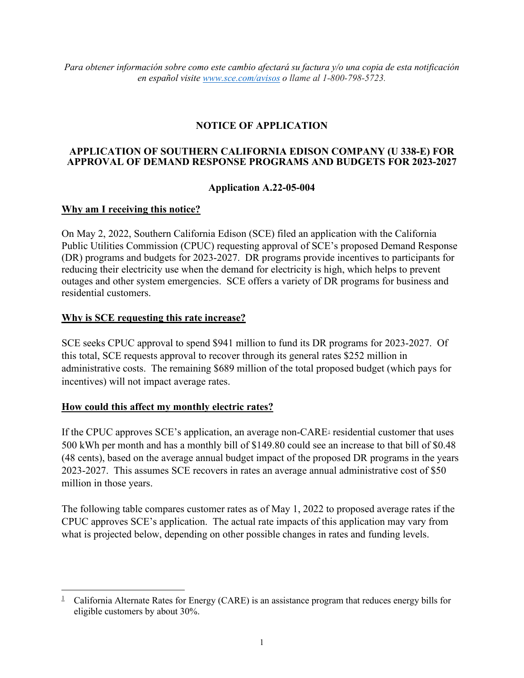*Para obtener información sobre como este cambio afectará su factura y/o una copia de esta notificación en español visite www.sce.com/avisos o llame al 1-800-798-5723.*

## **NOTICE OF APPLICATION**

### **APPLICATION OF SOUTHERN CALIFORNIA EDISON COMPANY (U 338-E) FOR APPROVAL OF DEMAND RESPONSE PROGRAMS AND BUDGETS FOR 2023-2027**

### **Application A.22-05-004**

### **Why am I receiving this notice?**

On May 2, 2022, Southern California Edison (SCE) filed an application with the California Public Utilities Commission (CPUC) requesting approval of SCE's proposed Demand Response (DR) programs and budgets for 2023-2027. DR programs provide incentives to participants for reducing their electricity use when the demand for electricity is high, which helps to prevent outages and other system emergencies. SCE offers a variety of DR programs for business and residential customers.

### **Why is SCE requesting this rate increase?**

SCE seeks CPUC approval to spend \$941 million to fund its DR programs for 2023-2027. Of this total, SCE requests approval to recover through its general rates \$252 million in administrative costs. The remaining \$689 million of the total proposed budget (which pays for incentives) will not impact average rates.

### **How could this affect my monthly electric rates?**

If the CPUC approves  $SCE$ 's application, an average non-CARE<sup> $1$ </sup> residential customer that uses 500 kWh per month and has a monthly bill of \$149.80 could see an increase to that bill of \$0.48 (48 cents), based on the average annual budget impact of the proposed DR programs in the years 2023-2027. This assumes SCE recovers in rates an average annual administrative cost of \$50 million in those years.

The following table compares customer rates as of May 1, 2022 to proposed average rates if the CPUC approves SCE's application. The actual rate impacts of this application may vary from what is projected below, depending on other possible changes in rates and funding levels.

<span id="page-0-0"></span><sup>&</sup>lt;sup>1</sup> California Alternate Rates for Energy (CARE) is an assistance program that reduces energy bills for eligible customers by about 30%.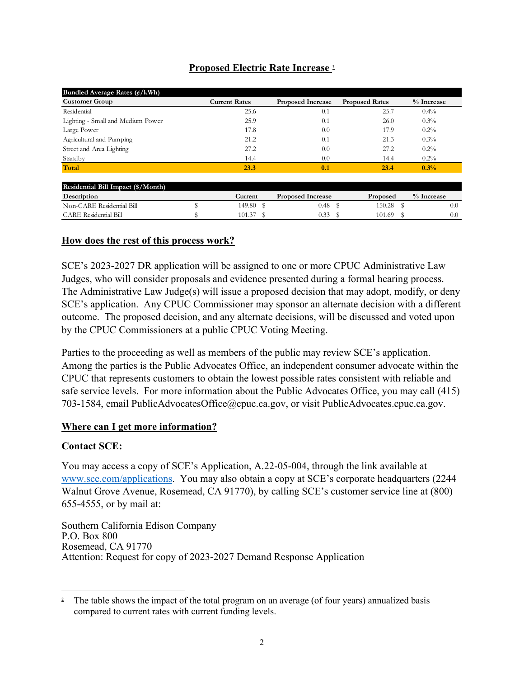# **Proposed Electric Rate Increase [2](#page-1-0)**

| Bundled Average Rates $(\frac{e}{kWh})$ |                      |                          |                       |              |
|-----------------------------------------|----------------------|--------------------------|-----------------------|--------------|
| <b>Customer Group</b>                   | <b>Current Rates</b> | <b>Proposed Increase</b> | <b>Proposed Rates</b> | % Increase   |
| Residential                             | 25.6                 | 0.1                      | 25.7                  | $0.4\%$      |
| Lighting - Small and Medium Power       | 25.9                 | 0.1                      | 26.0                  | $0.3\%$      |
| Large Power                             | 17.8                 | 0.0                      | 17.9                  | $0.2\%$      |
| Agricultural and Pumping                | 21.2                 | 0.1                      | 21.3                  | $0.3\%$      |
| Street and Area Lighting                | 27.2                 | 0.0                      | 27.2                  | $0.2\%$      |
| Standby                                 | 14.4                 | 0.0                      | 14.4                  | $0.2\%$      |
| Total                                   | 23.3                 | 0.1                      | 23.4                  | 0.3%         |
|                                         |                      |                          |                       |              |
| Residential Bill Impact (\$/Month)      |                      |                          |                       |              |
| Description                             | Current              | <b>Proposed Increase</b> | Proposed              | $%$ Increase |
| Ś<br>Non-CARE Residential Bill          | 149.80 \$            | 0.48                     | 150.28<br>-S          | 0.0<br>- \$  |
| <b>CARE Residential Bill</b>            | $101.37$ \$          | 0.33                     | 101.69<br>S           | S<br>0.0     |

## **How does the rest of this process work?**

SCE's 2023-2027 DR application will be assigned to one or more CPUC Administrative Law Judges, who will consider proposals and evidence presented during a formal hearing process. The Administrative Law Judge(s) will issue a proposed decision that may adopt, modify, or deny SCE's application. Any CPUC Commissioner may sponsor an alternate decision with a different outcome. The proposed decision, and any alternate decisions, will be discussed and voted upon by the CPUC Commissioners at a public CPUC Voting Meeting.

Parties to the proceeding as well as members of the public may review SCE's application. Among the parties is the Public Advocates Office, an independent consumer advocate within the CPUC that represents customers to obtain the lowest possible rates consistent with reliable and safe service levels. For more information about the Public Advocates Office, you may call (415) 703-1584, email PublicAdvocatesOffice@cpuc.ca.gov, or visit PublicAdvocates.cpuc.ca.gov.

# **Where can I get more information?**

# **Contact SCE:**

You may access a copy of SCE's Application, A.22-05-004, through the link available at [www.sce.com/applications.](http://www.sce.com/applications) You may also obtain a copy at SCE's corporate headquarters (2244 Walnut Grove Avenue, Rosemead, CA 91770), by calling SCE's customer service line at (800) 655-4555, or by mail at:

Southern California Edison Company P.O. Box 800 Rosemead, CA 91770 Attention: Request for copy of 2023-2027 Demand Response Application

<span id="page-1-0"></span><sup>&</sup>lt;sup>2</sup> The table shows the impact of the total program on an average (of four years) annualized basis compared to current rates with current funding levels.